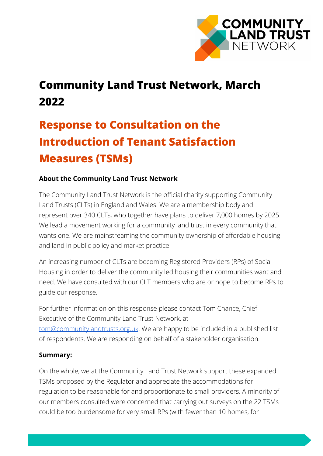

## **Community Land Trust Network, March 2022**

# **Response to Consultation on the Introduction of Tenant Satisfaction Measures (TSMs)**

### **About the Community Land Trust Network**

The Community Land Trust Network is the official charity supporting Community Land Trusts (CLTs) in England and Wales. We are a membership body and represent over 340 CLTs, who together have plans to deliver 7,000 homes by 2025. We lead a movement working for a community land trust in every community that wants one. We are mainstreaming the community ownership of affordable housing and land in public policy and market practice.

An increasing number of CLTs are becoming Registered Providers (RPs) of Social Housing in order to deliver the community led housing their communities want and need. We have consulted with our CLT members who are or hope to become RPs to guide our response.

For further information on this response please contact Tom Chance, Chief Executive of the Community Land Trust Network, at [tom@communitylandtrusts.org.uk](mailto:tom@communitylandtrusts.org.uk). We are happy to be included in a published list of respondents. We are responding on behalf of a stakeholder organisation.

#### **Summary:**

On the whole, we at the Community Land Trust Network support these expanded TSMs proposed by the Regulator and appreciate the accommodations for regulation to be reasonable for and proportionate to small providers. A minority of our members consulted were concerned that carrying out surveys on the 22 TSMs could be too burdensome for very small RPs (with fewer than 10 homes, for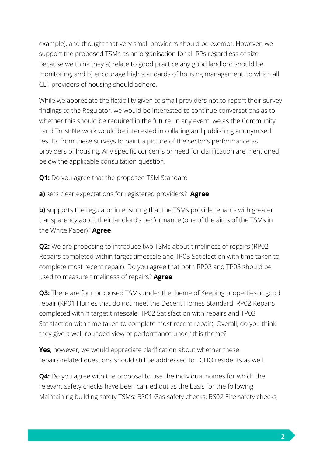example), and thought that very small providers should be exempt. However, we support the proposed TSMs as an organisation for all RPs regardless of size because we think they a) relate to good practice any good landlord should be monitoring, and b) encourage high standards of housing management, to which all CLT providers of housing should adhere.

While we appreciate the flexibility given to small providers not to report their survey findings to the Regulator, we would be interested to continue conversations as to whether this should be required in the future. In any event, we as the Community Land Trust Network would be interested in collating and publishing anonymised results from these surveys to paint a picture of the sector's performance as providers of housing. Any specific concerns or need for clarification are mentioned below the applicable consultation question.

**Q1:** Do you agree that the proposed TSM Standard

**a)** sets clear expectations for registered providers? **Agree**

**b)** supports the regulator in ensuring that the TSMs provide tenants with greater transparency about their landlord's performance (one of the aims of the TSMs in the White Paper)? **Agree**

**Q2:** We are proposing to introduce two TSMs about timeliness of repairs (RP02) Repairs completed within target timescale and TP03 Satisfaction with time taken to complete most recent repair). Do you agree that both RP02 and TP03 should be used to measure timeliness of repairs? **Agree**

**Q3:** There are four proposed TSMs under the theme of Keeping properties in good repair (RP01 Homes that do not meet the Decent Homes Standard, RP02 Repairs completed within target timescale, TP02 Satisfaction with repairs and TP03 Satisfaction with time taken to complete most recent repair). Overall, do you think they give a well-rounded view of performance under this theme?

**Yes**, however, we would appreciate clarification about whether these repairs-related questions should still be addressed to LCHO residents as well.

**Q4:** Do you agree with the proposal to use the individual homes for which the relevant safety checks have been carried out as the basis for the following Maintaining building safety TSMs: BS01 Gas safety checks, BS02 Fire safety checks,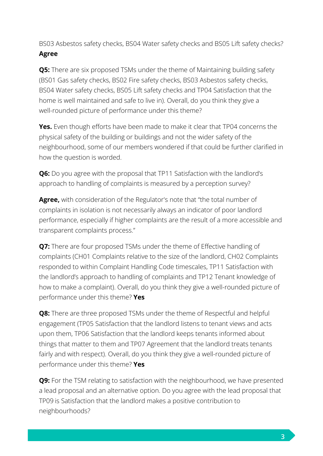BS03 Asbestos safety checks, BS04 Water safety checks and BS05 Lift safety checks? **Agree**

**Q5:** There are six proposed TSMs under the theme of Maintaining building safety (BS01 Gas safety checks, BS02 Fire safety checks, BS03 Asbestos safety checks, BS04 Water safety checks, BS05 Lift safety checks and TP04 Satisfaction that the home is well maintained and safe to live in). Overall, do you think they give a well-rounded picture of performance under this theme?

**Yes.** Even though efforts have been made to make it clear that TP04 concerns the physical safety of the building or buildings and not the wider safety of the neighbourhood, some of our members wondered if that could be further clarified in how the question is worded.

**Q6:** Do you agree with the proposal that TP11 Satisfaction with the landlord's approach to handling of complaints is measured by a perception survey?

**Agree,** with consideration of the Regulator's note that "the total number of complaints in isolation is not necessarily always an indicator of poor landlord performance, especially if higher complaints are the result of a more accessible and transparent complaints process."

**Q7:** There are four proposed TSMs under the theme of Effective handling of complaints (CH01 Complaints relative to the size of the landlord, CH02 Complaints responded to within Complaint Handling Code timescales, TP11 Satisfaction with the landlord's approach to handling of complaints and TP12 Tenant knowledge of how to make a complaint). Overall, do you think they give a well-rounded picture of performance under this theme? **Yes**

**Q8:** There are three proposed TSMs under the theme of Respectful and helpful engagement (TP05 Satisfaction that the landlord listens to tenant views and acts upon them, TP06 Satisfaction that the landlord keeps tenants informed about things that matter to them and TP07 Agreement that the landlord treats tenants fairly and with respect). Overall, do you think they give a well-rounded picture of performance under this theme? **Yes**

**Q9:** For the TSM relating to satisfaction with the neighbourhood, we have presented a lead proposal and an alternative option. Do you agree with the lead proposal that TP09 is Satisfaction that the landlord makes a positive contribution to neighbourhoods?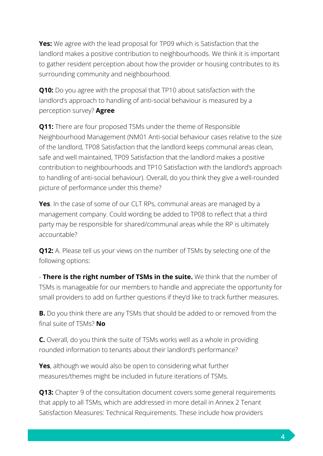**Yes:** We agree with the lead proposal for TP09 which is Satisfaction that the landlord makes a positive contribution to neighbourhoods. We think it is important to gather resident perception about how the provider or housing contributes to its surrounding community and neighbourhood.

**Q10:** Do you agree with the proposal that TP10 about satisfaction with the landlord's approach to handling of anti-social behaviour is measured by a perception survey? **Agree**

**Q11:** There are four proposed TSMs under the theme of Responsible Neighbourhood Management (NM01 Anti-social behaviour cases relative to the size of the landlord, TP08 Satisfaction that the landlord keeps communal areas clean, safe and well maintained, TP09 Satisfaction that the landlord makes a positive contribution to neighbourhoods and TP10 Satisfaction with the landlord's approach to handling of anti-social behaviour). Overall, do you think they give a well-rounded picture of performance under this theme?

**Yes**. In the case of some of our CLT RPs, communal areas are managed by a management company. Could wording be added to TP08 to reflect that a third party may be responsible for shared/communal areas while the RP is ultimately accountable?

**Q12:** A. Please tell us your views on the number of TSMs by selecting one of the following options:

- **There is the right number of TSMs in the suite.** We think that the number of TSMs is manageable for our members to handle and appreciate the opportunity for small providers to add on further questions if they'd like to track further measures.

**B.** Do you think there are any TSMs that should be added to or removed from the final suite of TSMs? **No**

**C.** Overall, do you think the suite of TSMs works well as a whole in providing rounded information to tenants about their landlord's performance?

**Yes**, although we would also be open to considering what further measures/themes might be included in future iterations of TSMs.

**Q13:** Chapter 9 of the consultation document covers some general requirements that apply to all TSMs, which are addressed in more detail in Annex 2 Tenant Satisfaction Measures: Technical Requirements. These include how providers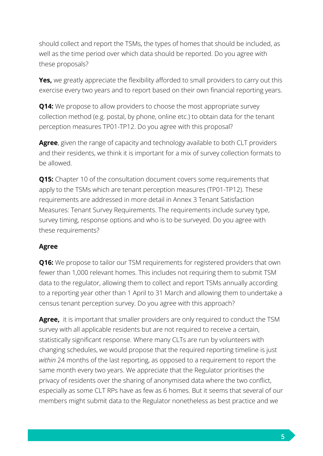should collect and report the TSMs, the types of homes that should be included, as well as the time period over which data should be reported. Do you agree with these proposals?

**Yes,** we greatly appreciate the flexibility afforded to small providers to carry out this exercise every two years and to report based on their own financial reporting years.

**Q14:** We propose to allow providers to choose the most appropriate survey collection method (e.g. postal, by phone, online etc.) to obtain data for the tenant perception measures TP01-TP12. Do you agree with this proposal?

**Agree**, given the range of capacity and technology available to both CLT providers and their residents, we think it is important for a mix of survey collection formats to be allowed.

**Q15:** Chapter 10 of the consultation document covers some requirements that apply to the TSMs which are tenant perception measures (TP01-TP12). These requirements are addressed in more detail in Annex 3 Tenant Satisfaction Measures: Tenant Survey Requirements. The requirements include survey type, survey timing, response options and who is to be surveyed. Do you agree with these requirements?

### **Agree**

**Q16:** We propose to tailor our TSM requirements for registered providers that own fewer than 1,000 relevant homes. This includes not requiring them to submit TSM data to the regulator, allowing them to collect and report TSMs annually according to a reporting year other than 1 April to 31 March and allowing them to undertake a census tenant perception survey. Do you agree with this approach?

**Agree,** it is important that smaller providers are only required to conduct the TSM survey with all applicable residents but are not required to receive a certain, statistically significant response. Where many CLTs are run by volunteers with changing schedules, we would propose that the required reporting timeline is just *within* 24 months of the last reporting, as opposed to a requirement to report the same month every two years. We appreciate that the Regulator prioritises the privacy of residents over the sharing of anonymised data where the two conflict, especially as some CLT RPs have as few as 6 homes. But it seems that several of our members might submit data to the Regulator nonetheless as best practice and we